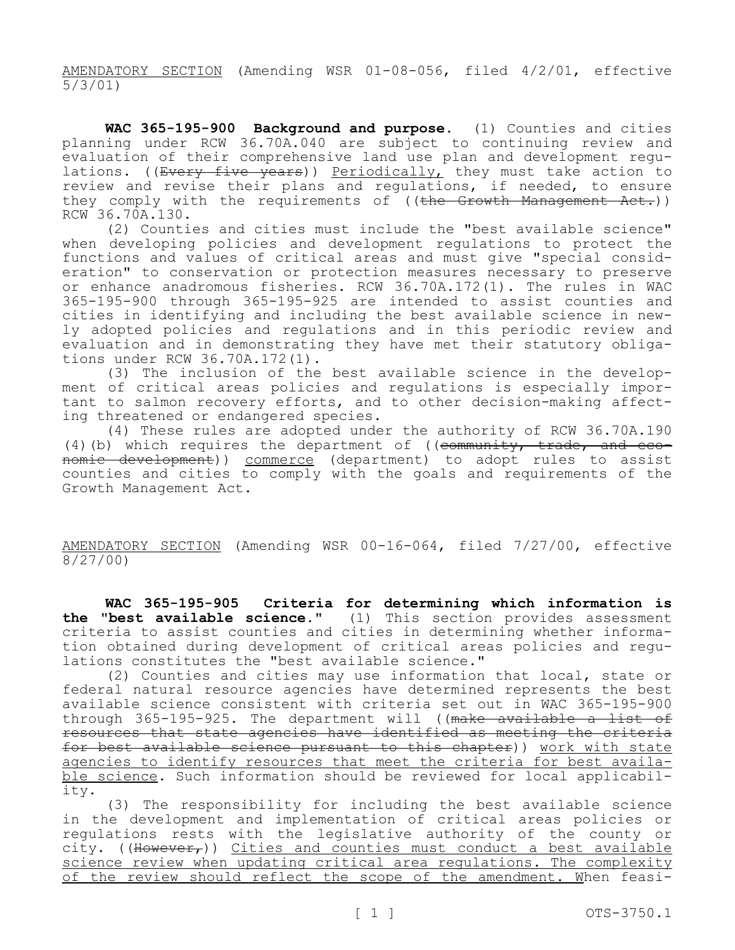AMENDATORY SECTION (Amending WSR 01-08-056, filed 4/2/01, effective 5/3/01)

**WAC 365-195-900 Background and purpose.** (1) Counties and cities planning under RCW 36.70A.040 are subject to continuing review and evaluation of their comprehensive land use plan and development regulations. ((Every five years)) Periodically, they must take action to review and revise their plans and regulations, if needed, to ensure they comply with the requirements of ((the Growth Management Act.)) RCW 36.70A.130.

(2) Counties and cities must include the "best available science" when developing policies and development regulations to protect the functions and values of critical areas and must give "special consideration" to conservation or protection measures necessary to preserve or enhance anadromous fisheries. RCW 36.70A.172(1). The rules in WAC 365-195-900 through 365-195-925 are intended to assist counties and cities in identifying and including the best available science in newly adopted policies and regulations and in this periodic review and evaluation and in demonstrating they have met their statutory obligations under RCW 36.70A.172(1).

(3) The inclusion of the best available science in the development of critical areas policies and regulations is especially important to salmon recovery efforts, and to other decision-making affecting threatened or endangered species.

(4) These rules are adopted under the authority of RCW 36.70A.190 (4)(b) which requires the department of (( $\epsilon$ ommunity, trade, and economic development)) commerce (department) to adopt rules to assist counties and cities to comply with the goals and requirements of the Growth Management Act.

AMENDATORY SECTION (Amending WSR 00-16-064, filed 7/27/00, effective 8/27/00)

**WAC 365-195-905 Criteria for determining which information is the "best available science."** (1) This section provides assessment criteria to assist counties and cities in determining whether information obtained during development of critical areas policies and regulations constitutes the "best available science."

(2) Counties and cities may use information that local, state or federal natural resource agencies have determined represents the best available science consistent with criteria set out in WAC 365-195-900 through 365-195-925. The department will ((make available a list of resources that state agencies have identified as meeting the criteria for best available science pursuant to this chapter)) work with state agencies to identify resources that meet the criteria for best available science. Such information should be reviewed for local applicability.

(3) The responsibility for including the best available science in the development and implementation of critical areas policies or regulations rests with the legislative authority of the county or city. ((However,)) Cities and counties must conduct a best available science review when updating critical area regulations. The complexity of the review should reflect the scope of the amendment. When feasi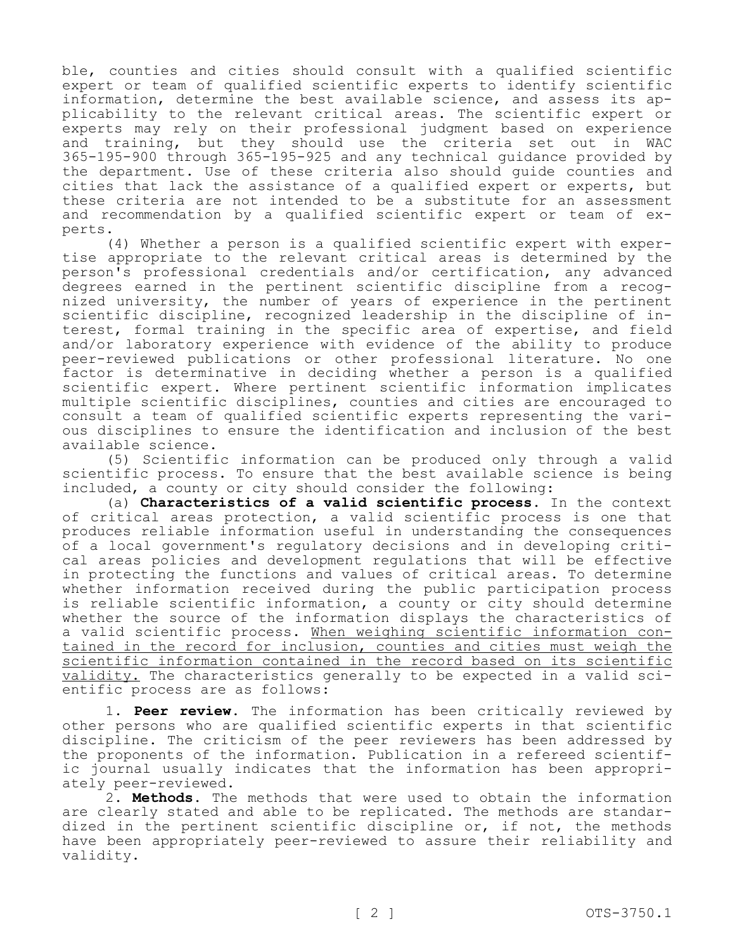ble, counties and cities should consult with a qualified scientific expert or team of qualified scientific experts to identify scientific information, determine the best available science, and assess its applicability to the relevant critical areas. The scientific expert or experts may rely on their professional judgment based on experience and training, but they should use the criteria set out in WAC 365-195-900 through 365-195-925 and any technical guidance provided by the department. Use of these criteria also should guide counties and cities that lack the assistance of a qualified expert or experts, but these criteria are not intended to be a substitute for an assessment and recommendation by a qualified scientific expert or team of experts.

(4) Whether a person is a qualified scientific expert with expertise appropriate to the relevant critical areas is determined by the person's professional credentials and/or certification, any advanced degrees earned in the pertinent scientific discipline from a recognized university, the number of years of experience in the pertinent scientific discipline, recognized leadership in the discipline of interest, formal training in the specific area of expertise, and field and/or laboratory experience with evidence of the ability to produce peer-reviewed publications or other professional literature. No one factor is determinative in deciding whether a person is a qualified scientific expert. Where pertinent scientific information implicates multiple scientific disciplines, counties and cities are encouraged to consult a team of qualified scientific experts representing the various disciplines to ensure the identification and inclusion of the best available science.

(5) Scientific information can be produced only through a valid scientific process. To ensure that the best available science is being included, a county or city should consider the following:

(a) **Characteristics of a valid scientific process.** In the context of critical areas protection, a valid scientific process is one that produces reliable information useful in understanding the consequences of a local government's regulatory decisions and in developing critical areas policies and development regulations that will be effective in protecting the functions and values of critical areas. To determine whether information received during the public participation process is reliable scientific information, a county or city should determine whether the source of the information displays the characteristics of a valid scientific process. When weighing scientific information contained in the record for inclusion, counties and cities must weigh the scientific information contained in the record based on its scientific validity. The characteristics generally to be expected in a valid scientific process are as follows:

1. **Peer review.** The information has been critically reviewed by other persons who are qualified scientific experts in that scientific discipline. The criticism of the peer reviewers has been addressed by the proponents of the information. Publication in a refereed scientific journal usually indicates that the information has been appropriately peer-reviewed.

2. **Methods.** The methods that were used to obtain the information are clearly stated and able to be replicated. The methods are standardized in the pertinent scientific discipline or, if not, the methods have been appropriately peer-reviewed to assure their reliability and validity.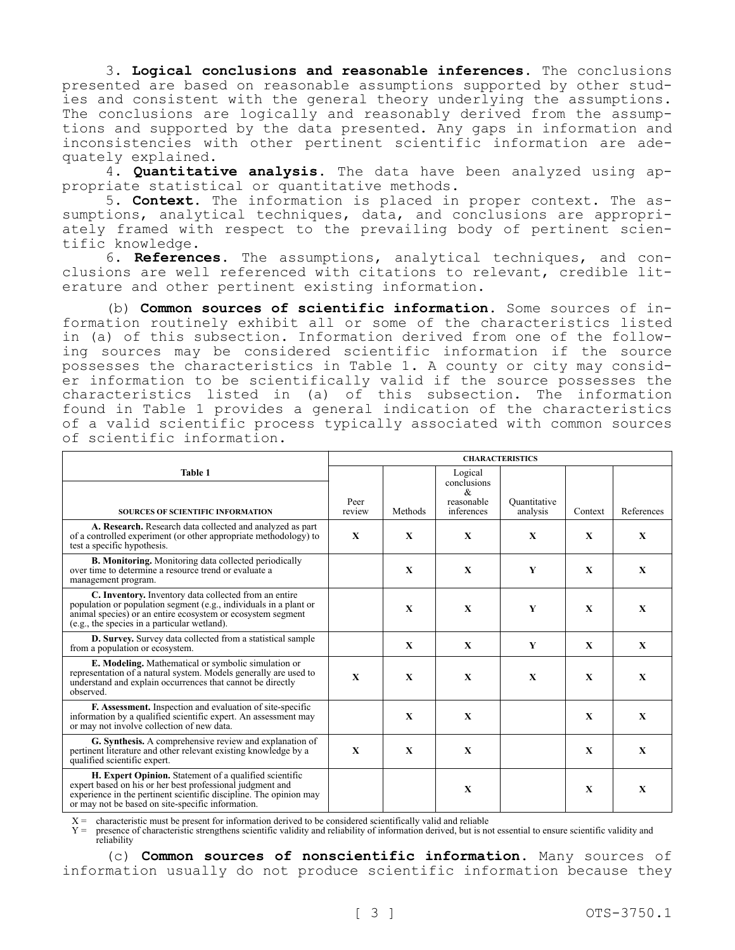3. **Logical conclusions and reasonable inferences.** The conclusions presented are based on reasonable assumptions supported by other studies and consistent with the general theory underlying the assumptions. The conclusions are logically and reasonably derived from the assumptions and supported by the data presented. Any gaps in information and inconsistencies with other pertinent scientific information are adequately explained.

4. **Quantitative analysis.** The data have been analyzed using appropriate statistical or quantitative methods.

5. **Context.** The information is placed in proper context. The assumptions, analytical techniques, data, and conclusions are appropriately framed with respect to the prevailing body of pertinent scientific knowledge.

6. **References.** The assumptions, analytical techniques, and conclusions are well referenced with citations to relevant, credible literature and other pertinent existing information.

(b) **Common sources of scientific information.** Some sources of information routinely exhibit all or some of the characteristics listed in (a) of this subsection. Information derived from one of the following sources may be considered scientific information if the source possesses the characteristics in Table 1. A county or city may consider information to be scientifically valid if the source possesses the characteristics listed in (a) of this subsection. The information found in Table 1 provides a general indication of the characteristics of a valid scientific process typically associated with common sources of scientific information.

|                                                                                                                                                                                                                                                | <b>CHARACTERISTICS</b> |              |                                                                                   |                          |              |              |
|------------------------------------------------------------------------------------------------------------------------------------------------------------------------------------------------------------------------------------------------|------------------------|--------------|-----------------------------------------------------------------------------------|--------------------------|--------------|--------------|
| <b>Table 1</b><br><b>SOURCES OF SCIENTIFIC INFORMATION</b>                                                                                                                                                                                     | Peer<br>review         | Methods      | Logical<br>conclusions<br>$\mathcal{R}_{\mathcal{L}}$<br>reasonable<br>inferences | Ouantitative<br>analysis | Context      | References   |
| A. Research. Research data collected and analyzed as part<br>of a controlled experiment (or other appropriate methodology) to<br>test a specific hypothesis.                                                                                   | X                      | X            | X                                                                                 | X                        | X            | X            |
| <b>B. Monitoring.</b> Monitoring data collected periodically<br>over time to determine a resource trend or evaluate a<br>management program.                                                                                                   |                        | X            | X                                                                                 | Y                        | X            | X            |
| C. Inventory. Inventory data collected from an entire<br>population or population segment (e.g., individuals in a plant or<br>animal species) or an entire ecosystem or ecosystem segment<br>(e.g., the species in a particular wetland).      |                        | $\mathbf{X}$ | $\mathbf{X}$                                                                      | Y                        | $\mathbf{x}$ | $\mathbf{X}$ |
| D. Survey. Survey data collected from a statistical sample<br>from a population or ecosystem.                                                                                                                                                  |                        | $\mathbf{X}$ | $\mathbf{x}$                                                                      | Y                        | $\mathbf{X}$ | $\mathbf{X}$ |
| E. Modeling. Mathematical or symbolic simulation or<br>representation of a natural system. Models generally are used to<br>understand and explain occurrences that cannot be directly<br>observed.                                             | $\mathbf{x}$           | $\mathbf{x}$ | $\mathbf{x}$                                                                      | $\mathbf{X}$             | $\mathbf{x}$ | $\mathbf{x}$ |
| F. Assessment. Inspection and evaluation of site-specific<br>information by a qualified scientific expert. An assessment may<br>or may not involve collection of new data.                                                                     |                        | $\mathbf{X}$ | $\mathbf{x}$                                                                      |                          | $\mathbf x$  | $\mathbf{X}$ |
| G. Synthesis. A comprehensive review and explanation of<br>pertinent literature and other relevant existing knowledge by a<br>qualified scientific expert.                                                                                     | $\mathbf{X}$           | X            | $\mathbf{X}$                                                                      |                          | X            | $\mathbf{X}$ |
| H. Expert Opinion. Statement of a qualified scientific<br>expert based on his or her best professional judgment and<br>experience in the pertinent scientific discipline. The opinion may<br>or may not be based on site-specific information. |                        |              | X                                                                                 |                          | X            | X            |

 $X =$  characteristic must be present for information derived to be considered scientifically valid and reliable

Y = presence of characteristic strengthens scientific validity and reliability of information derived, but is not essential to ensure scientific validity and reliability

(c) **Common sources of nonscientific information.** Many sources of information usually do not produce scientific information because they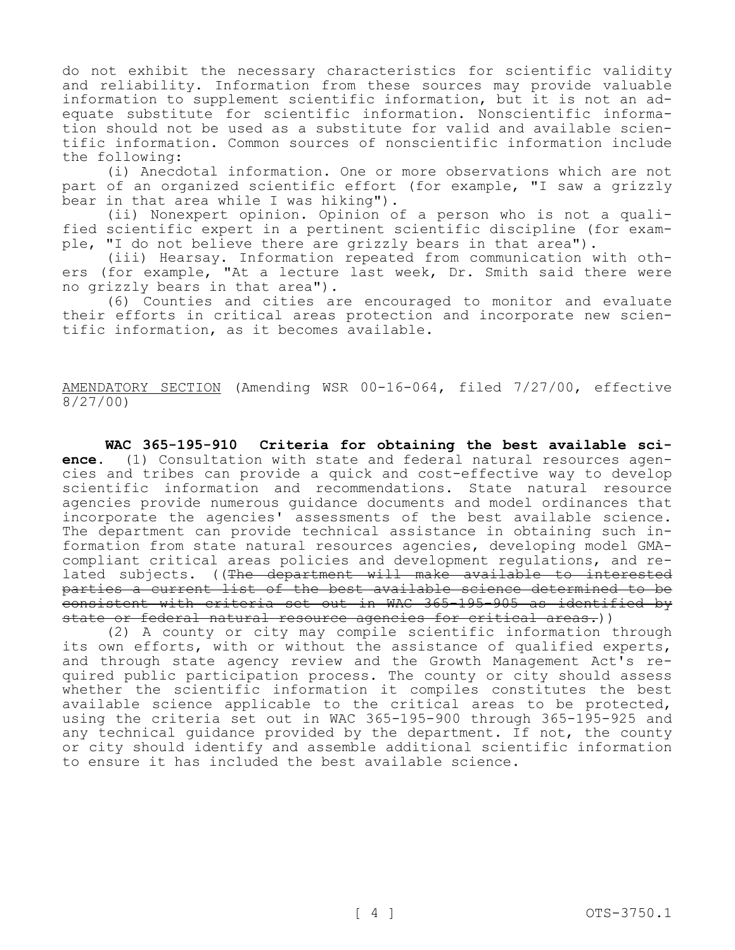do not exhibit the necessary characteristics for scientific validity and reliability. Information from these sources may provide valuable information to supplement scientific information, but it is not an adequate substitute for scientific information. Nonscientific information should not be used as a substitute for valid and available scientific information. Common sources of nonscientific information include the following:

(i) Anecdotal information. One or more observations which are not part of an organized scientific effort (for example, "I saw a grizzly bear in that area while I was hiking").

(ii) Nonexpert opinion. Opinion of a person who is not a qualified scientific expert in a pertinent scientific discipline (for example, "I do not believe there are grizzly bears in that area").

(iii) Hearsay. Information repeated from communication with others (for example, "At a lecture last week, Dr. Smith said there were no grizzly bears in that area").

(6) Counties and cities are encouraged to monitor and evaluate their efforts in critical areas protection and incorporate new scientific information, as it becomes available.

AMENDATORY SECTION (Amending WSR 00-16-064, filed 7/27/00, effective 8/27/00)

**WAC 365-195-910 Criteria for obtaining the best available science.** (1) Consultation with state and federal natural resources agencies and tribes can provide a quick and cost-effective way to develop scientific information and recommendations. State natural resource agencies provide numerous guidance documents and model ordinances that incorporate the agencies' assessments of the best available science. The department can provide technical assistance in obtaining such information from state natural resources agencies, developing model GMAcompliant critical areas policies and development regulations, and related subjects. ((The department will make available to interested parties a current list of the best available science determined to be consistent with criteria set out in WAC 365-195-905 as identified by state or federal natural resource agencies for critical areas.))

(2) A county or city may compile scientific information through its own efforts, with or without the assistance of qualified experts, and through state agency review and the Growth Management Act's required public participation process. The county or city should assess whether the scientific information it compiles constitutes the best available science applicable to the critical areas to be protected, using the criteria set out in WAC 365-195-900 through 365-195-925 and any technical guidance provided by the department. If not, the county or city should identify and assemble additional scientific information to ensure it has included the best available science.